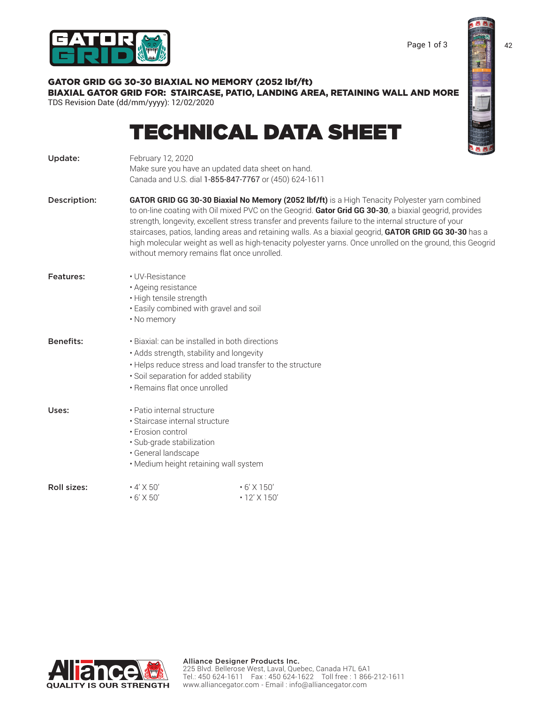

# GATOR GRID GG 30-30 BIAXIAL NO MEMORY (2052 lbf/ft)

BIAXIAL GATOR GRID FOR: STAIRCASE, PATIO, LANDING AREA, RETAINING WALL AND MORE TDS Revision Date (dd/mm/yyyy): 12/02/2020

# TECHNICAL DATA SHEET

| Update:          | February 12, 2020<br>Make sure you have an updated data sheet on hand.<br>Canada and U.S. dial 1-855-847-7767 or (450) 624-1611                                                                                                 |                                                                                                                                                                                                                                                                                                                                                                                                                                                                                                                                          |  |
|------------------|---------------------------------------------------------------------------------------------------------------------------------------------------------------------------------------------------------------------------------|------------------------------------------------------------------------------------------------------------------------------------------------------------------------------------------------------------------------------------------------------------------------------------------------------------------------------------------------------------------------------------------------------------------------------------------------------------------------------------------------------------------------------------------|--|
| Description:     | without memory remains flat once unrolled.                                                                                                                                                                                      | GATOR GRID GG 30-30 Biaxial No Memory (2052 lbf/ft) is a High Tenacity Polyester yarn combined<br>to on-line coating with Oil mixed PVC on the Geogrid. Gator Grid GG 30-30, a biaxial geogrid, provides<br>strength, longevity, excellent stress transfer and prevents failure to the internal structure of your<br>staircases, patios, landing areas and retaining walls. As a biaxial geogrid, GATOR GRID GG 30-30 has a<br>high molecular weight as well as high-tenacity polyester yarns. Once unrolled on the ground, this Geogrid |  |
| Features:        | • UV-Resistance<br>· Ageing resistance<br>· High tensile strength<br>. Easily combined with gravel and soil<br>• No memory                                                                                                      |                                                                                                                                                                                                                                                                                                                                                                                                                                                                                                                                          |  |
| <b>Benefits:</b> | · Biaxial: can be installed in both directions<br>· Adds strength, stability and longevity<br>. Helps reduce stress and load transfer to the structure<br>· Soil separation for added stability<br>• Remains flat once unrolled |                                                                                                                                                                                                                                                                                                                                                                                                                                                                                                                                          |  |
| Uses:            | • Patio internal structure<br>· Staircase internal structure<br>• Erosion control<br>· Sub-grade stabilization<br>· General landscape<br>· Medium height retaining wall system                                                  |                                                                                                                                                                                                                                                                                                                                                                                                                                                                                                                                          |  |
| Roll sizes:      | $\cdot$ 4' X 50'<br>$\cdot$ 6' X 50'                                                                                                                                                                                            | $\cdot$ 6' X 150'<br>$\cdot$ 12' X 150'                                                                                                                                                                                                                                                                                                                                                                                                                                                                                                  |  |

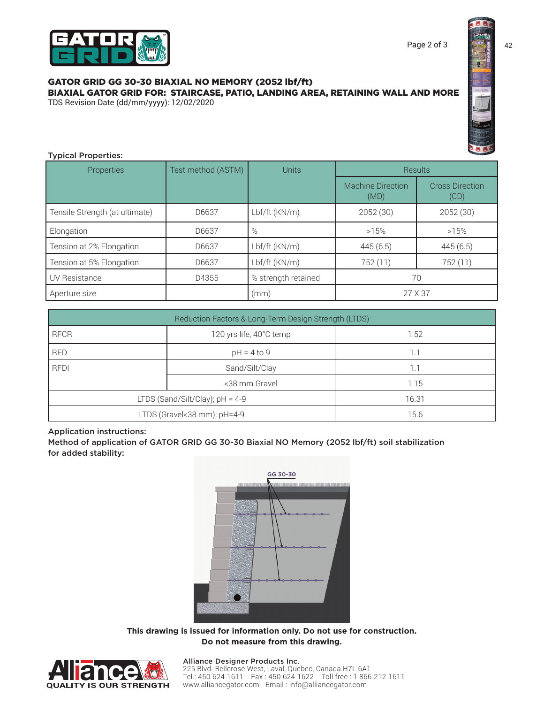# GATOR GRID GG 30-30 BIAXIAL NO MEMORY (2052 lbf/ft) BIAXIAL GATOR GRID FOR: STAIRCASE, PATIO, LANDING AREA, RETAINING WALL AND MORE

TDS Revision Date (dd/mm/yyyy): 12/02/2020



# Typical Properties:

| <b>Properties</b>              | Test method (ASTM) | <b>Units</b>        | <b>Results</b>                   |                                |
|--------------------------------|--------------------|---------------------|----------------------------------|--------------------------------|
|                                |                    |                     | <b>Machine Direction</b><br>(MD) | <b>Cross Direction</b><br>(CD) |
| Tensile Strength (at ultimate) | D6637              | Lbf/ft (KN/m)       | 2052 (30)                        | 2052 (30)                      |
| Elongation                     | D6637              | $\%$                | >15%                             | >15%                           |
| Tension at 2% Elongation       | D6637              | Lbf/ft (KN/m)       | 445(6.5)                         | 445(6.5)                       |
| Tension at 5% Elongation       | D6637              | Lbf/ft (KN/m)       | 752 (11)                         | 752 (11)                       |
| <b>UV Resistance</b>           | D4355              | % strength retained |                                  | 70                             |
| Aperture size                  |                    | (mm)                | 27 X 37                          |                                |

| Reduction Factors & Long-Term Design Strength (LTDS) |                         |       |  |  |
|------------------------------------------------------|-------------------------|-------|--|--|
| <b>RFCR</b>                                          | 120 yrs life, 40°C temp | 1.52  |  |  |
| <b>RFD</b>                                           | $pH = 4$ to 9           |       |  |  |
| <b>RFDI</b>                                          | Sand/Silt/Clay          |       |  |  |
|                                                      | <38 mm Gravel           | 1.15  |  |  |
| LTDS (Sand/Silt/Clay); $pH = 4-9$                    |                         | 16.31 |  |  |
| LTDS (Gravel<38 mm); pH=4-9                          |                         | 15.6  |  |  |

# Application instructions:

Method of application of GATOR GRID GG 30-30 Biaxial NO Memory (2052 lbf/ft) soil stabilization for added stability:



**This drawing is issued for information only. Do not use for construction. Do not measure from this drawing.**



#### Alliance Designer Products Inc.

225 Blvd. Bellerose West, Laval, Quebec, Canada H7L 6A1 Tel.: 450 624-1611 Fax : 450 624-1622 Toll free : 1 866-212-1611 www.alliancegator.com - Email : info@alliancegator.com